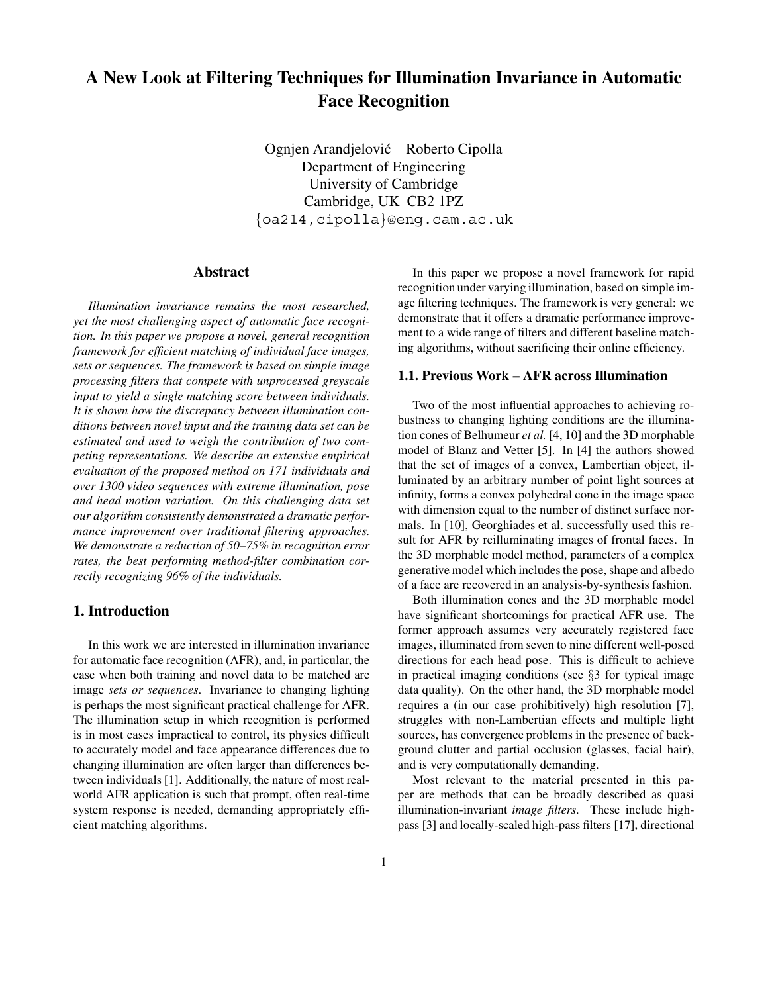# **A New Look at Filtering Techniques for Illumination Invariance in Automatic Face Recognition**

Ognjen Arandjelović Roberto Cipolla Department of Engineering University of Cambridge Cambridge, UK CB2 1PZ {oa214,cipolla}@eng.cam.ac.uk

## **Abstract**

*Illumination invariance remains the most researched, yet the most challenging aspect of automatic face recognition. In this paper we propose a novel, general recognition framework for efficient matching of individual face images, sets or sequences. The framework is based on simple image processing filters that compete with unprocessed greyscale input to yield a single matching score between individuals. It is shown how the discrepancy between illumination conditions between novel input and the training data set can be estimated and used to weigh the contribution of two competing representations. We describe an extensive empirical evaluation of the proposed method on 171 individuals and over 1300 video sequences with extreme illumination, pose and head motion variation. On this challenging data set our algorithm consistently demonstrated a dramatic performance improvement over traditional filtering approaches. We demonstrate a reduction of 50–75% in recognition error rates, the best performing method-filter combination correctly recognizing 96% of the individuals.*

### **1. Introduction**

In this work we are interested in illumination invariance for automatic face recognition (AFR), and, in particular, the case when both training and novel data to be matched are image *sets or sequences*. Invariance to changing lighting is perhaps the most significant practical challenge for AFR. The illumination setup in which recognition is performed is in most cases impractical to control, its physics difficult to accurately model and face appearance differences due to changing illumination are often larger than differences between individuals [1]. Additionally, the nature of most realworld AFR application is such that prompt, often real-time system response is needed, demanding appropriately efficient matching algorithms.

In this paper we propose a novel framework for rapid recognition under varying illumination, based on simple image filtering techniques. The framework is very general: we demonstrate that it offers a dramatic performance improvement to a wide range of filters and different baseline matching algorithms, without sacrificing their online efficiency.

#### **1.1. Previous Work – AFR across Illumination**

Two of the most influential approaches to achieving robustness to changing lighting conditions are the illumination cones of Belhumeur *et al.* [4, 10] and the 3D morphable model of Blanz and Vetter [5]. In [4] the authors showed that the set of images of a convex, Lambertian object, illuminated by an arbitrary number of point light sources at infinity, forms a convex polyhedral cone in the image space with dimension equal to the number of distinct surface normals. In [10], Georghiades et al. successfully used this result for AFR by reilluminating images of frontal faces. In the 3D morphable model method, parameters of a complex generative model which includes the pose, shape and albedo of a face are recovered in an analysis-by-synthesis fashion.

Both illumination cones and the 3D morphable model have significant shortcomings for practical AFR use. The former approach assumes very accurately registered face images, illuminated from seven to nine different well-posed directions for each head pose. This is difficult to achieve in practical imaging conditions (see §3 for typical image data quality). On the other hand, the 3D morphable model requires a (in our case prohibitively) high resolution [7], struggles with non-Lambertian effects and multiple light sources, has convergence problems in the presence of background clutter and partial occlusion (glasses, facial hair), and is very computationally demanding.

Most relevant to the material presented in this paper are methods that can be broadly described as quasi illumination-invariant *image filters*. These include highpass [3] and locally-scaled high-pass filters [17], directional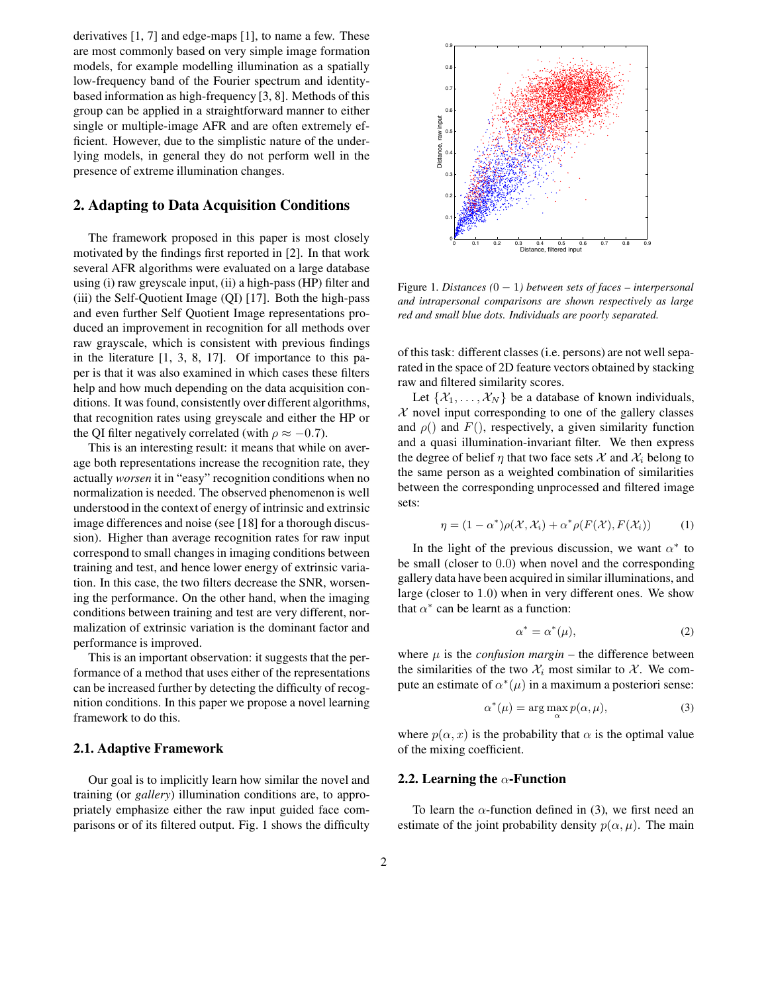derivatives [1, 7] and edge-maps [1], to name a few. These are most commonly based on very simple image formation models, for example modelling illumination as a spatially low-frequency band of the Fourier spectrum and identitybased information as high-frequency [3, 8]. Methods of this group can be applied in a straightforward manner to either single or multiple-image AFR and are often extremely efficient. However, due to the simplistic nature of the underlying models, in general they do not perform well in the presence of extreme illumination changes.

## **2. Adapting to Data Acquisition Conditions**

The framework proposed in this paper is most closely motivated by the findings first reported in [2]. In that work several AFR algorithms were evaluated on a large database using (i) raw greyscale input, (ii) a high-pass (HP) filter and (iii) the Self-Quotient Image (QI) [17]. Both the high-pass and even further Self Quotient Image representations produced an improvement in recognition for all methods over raw grayscale, which is consistent with previous findings in the literature [1, 3, 8, 17]. Of importance to this paper is that it was also examined in which cases these filters help and how much depending on the data acquisition conditions. It was found, consistently over different algorithms, that recognition rates using greyscale and either the HP or the QI filter negatively correlated (with  $\rho \approx -0.7$ ).

This is an interesting result: it means that while on average both representations increase the recognition rate, they actually *worsen* it in "easy" recognition conditions when no normalization is needed. The observed phenomenon is well understood in the context of energy of intrinsic and extrinsic image differences and noise (see [18] for a thorough discussion). Higher than average recognition rates for raw input correspond to small changes in imaging conditions between training and test, and hence lower energy of extrinsic variation. In this case, the two filters decrease the SNR, worsening the performance. On the other hand, when the imaging conditions between training and test are very different, normalization of extrinsic variation is the dominant factor and performance is improved.

This is an important observation: it suggests that the performance of a method that uses either of the representations can be increased further by detecting the difficulty of recognition conditions. In this paper we propose a novel learning framework to do this.

#### **2.1. Adaptive Framework**

Our goal is to implicitly learn how similar the novel and training (or *gallery*) illumination conditions are, to appropriately emphasize either the raw input guided face comparisons or of its filtered output. Fig. 1 shows the difficulty



Figure 1. *Distances (*0 <sup>−</sup> 1*) between sets of faces – interpersonal and intrapersonal comparisons are shown respectively as large red and small blue dots. Individuals are poorly separated.*

of this task: different classes (i.e. persons) are not well separated in the space of 2D feature vectors obtained by stacking raw and filtered similarity scores.

Let  $\{\mathcal{X}_1,\ldots,\mathcal{X}_N\}$  be a database of known individuals,  $X$  novel input corresponding to one of the gallery classes and  $\rho()$  and  $F()$ , respectively, a given similarity function and a quasi illumination-invariant filter. We then express the degree of belief  $\eta$  that two face sets  $\mathcal X$  and  $\mathcal X_i$  belong to the same person as a weighted combination of similarities between the corresponding unprocessed and filtered image sets:

$$
\eta = (1 - \alpha^*)\rho(\mathcal{X}, \mathcal{X}_i) + \alpha^* \rho(F(\mathcal{X}), F(\mathcal{X}_i))
$$
 (1)

In the light of the previous discussion, we want  $\alpha^*$  to be small (closer to 0.0) when novel and the corresponding gallery data have been acquired in similar illuminations, and large (closer to 1.0) when in very different ones. We show that  $\alpha^*$  can be learnt as a function:

$$
\alpha^* = \alpha^*(\mu),\tag{2}
$$

where  $\mu$  is the *confusion margin* – the difference between the similarities of the two  $\mathcal{X}_i$  most similar to  $\mathcal{X}_i$ . We compute an estimate of  $\alpha^*(\mu)$  in a maximum a posteriori sense:

$$
\alpha^*(\mu) = \arg\max_{\alpha} p(\alpha, \mu), \tag{3}
$$

where  $p(\alpha, x)$  is the probability that  $\alpha$  is the optimal value of the mixing coefficient.

#### **2.2. Learning the** α**-Function**

To learn the  $\alpha$ -function defined in (3), we first need an estimate of the joint probability density  $p(\alpha, \mu)$ . The main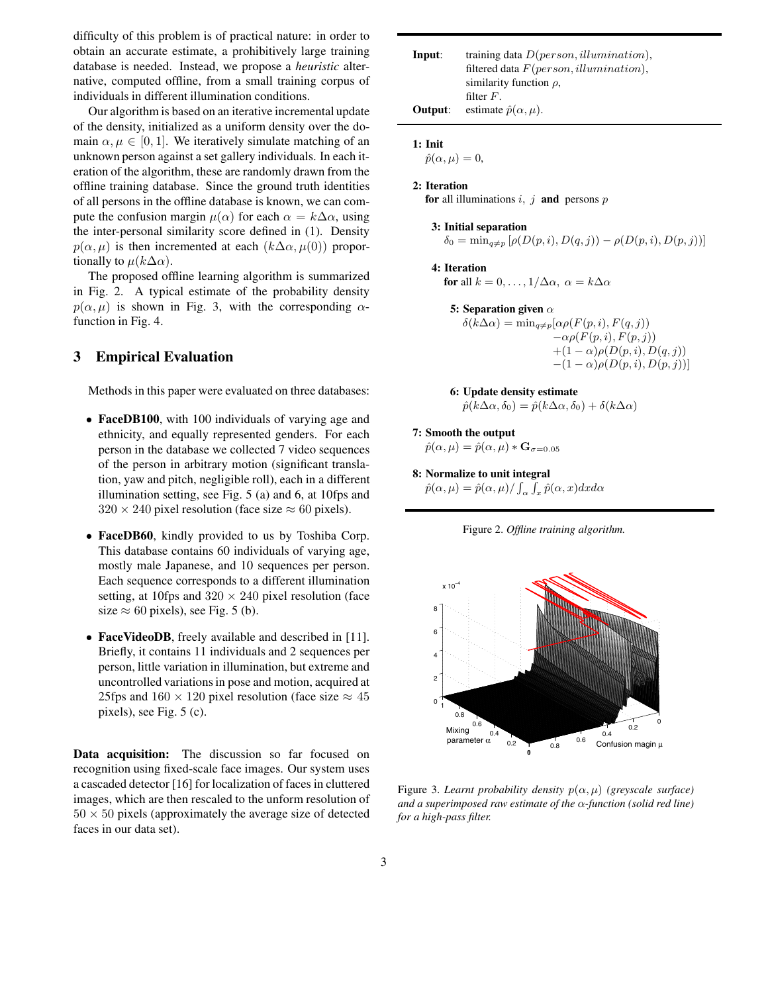difficulty of this problem is of practical nature: in order to obtain an accurate estimate, a prohibitively large training database is needed. Instead, we propose a *heuristic* alternative, computed offline, from a small training corpus of individuals in different illumination conditions.

Our algorithm is based on an iterative incremental update of the density, initialized as a uniform density over the domain  $\alpha, \mu \in [0, 1]$ . We iteratively simulate matching of an unknown person against a set gallery individuals. In each iteration of the algorithm, these are randomly drawn from the offline training database. Since the ground truth identities of all persons in the offline database is known, we can compute the confusion margin  $\mu(\alpha)$  for each  $\alpha = k\Delta\alpha$ , using the inter-personal similarity score defined in (1). Density  $p(\alpha, \mu)$  is then incremented at each  $(k\Delta\alpha, \mu(0))$  proportionally to  $\mu(k\Delta\alpha)$ .

The proposed offline learning algorithm is summarized in Fig. 2. A typical estimate of the probability density  $p(\alpha, \mu)$  is shown in Fig. 3, with the corresponding  $\alpha$ function in Fig. 4.

## **3 Empirical Evaluation**

Methods in this paper were evaluated on three databases:

- **FaceDB100**, with 100 individuals of varying age and ethnicity, and equally represented genders. For each person in the database we collected 7 video sequences of the person in arbitrary motion (significant translation, yaw and pitch, negligible roll), each in a different illumination setting, see Fig. 5 (a) and 6, at 10fps and  $320 \times 240$  pixel resolution (face size  $\approx 60$  pixels).
- **FaceDB60**, kindly provided to us by Toshiba Corp. This database contains 60 individuals of varying age, mostly male Japanese, and 10 sequences per person. Each sequence corresponds to a different illumination setting, at 10fps and  $320 \times 240$  pixel resolution (face size  $\approx 60$  pixels), see Fig. 5 (b).
- **FaceVideoDB**, freely available and described in [11]. Briefly, it contains 11 individuals and 2 sequences per person, little variation in illumination, but extreme and uncontrolled variations in pose and motion, acquired at 25fps and  $160 \times 120$  pixel resolution (face size  $\approx 45$ pixels), see Fig. 5 (c).

**Data acquisition:** The discussion so far focused on recognition using fixed-scale face images. Our system uses a cascaded detector [16] for localization of faces in cluttered images, which are then rescaled to the unform resolution of  $50 \times 50$  pixels (approximately the average size of detected faces in our data set).

| Input:  | training data $D(person, illumination)$ ,<br>filtered data $F(person, illumination)$ , |
|---------|----------------------------------------------------------------------------------------|
|         | similarity function $\rho$ ,                                                           |
|         | filter $F$ .                                                                           |
| Output: | estimate $\hat{p}(\alpha,\mu)$ .                                                       |

```
1: Init
```
 $\hat{p}(\alpha,\mu)=0,$ 

```
2: Iteration
for all illuminations i, j and persons p
```
**3: Initial separation**  $\delta_0 = \min_{q \neq p} [\rho(D(p, i), D(q, j)) - \rho(D(p, i), D(p, j))]$ 

**4: Iteration for** all  $k = 0, \ldots, 1/\Delta \alpha$ ,  $\alpha = k\Delta \alpha$ 

- **5: Separation given** α  $\delta(\bar{k}\Delta\alpha) = \min_{q \neq p} [\alpha \rho(F(p,i), F(q,j))$  $-\alpha \rho(F(p,i), F(p,j))$  $+(1-\alpha)\rho(D(p,i),D(q,j))$  $-(1 - \alpha) \rho(D(p, i), D(p, j))$ ]
- **6: Update density estimate**  $\hat{p}(k\Delta\alpha,\delta_0)=\hat{p}(k\Delta\alpha,\delta_0)+\delta(k\Delta\alpha)$
- **7: Smooth the output**

 $\hat{p}(\alpha,\mu)=\hat{p}(\alpha,\mu)*\mathbf{G}_{\sigma=0.05}$ 

**8: Normalize to unit integral**

 $\hat{p}(\alpha,\mu) = \hat{p}(\alpha,\mu) / \int_{\alpha} \int_{x} \hat{p}(\alpha, x) dxd\alpha$ 





Figure 3. *Learnt probability density*  $p(\alpha, \mu)$  *(greyscale surface) and a superimposed raw estimate of the* α*-function (solid red line) for a high-pass filter.*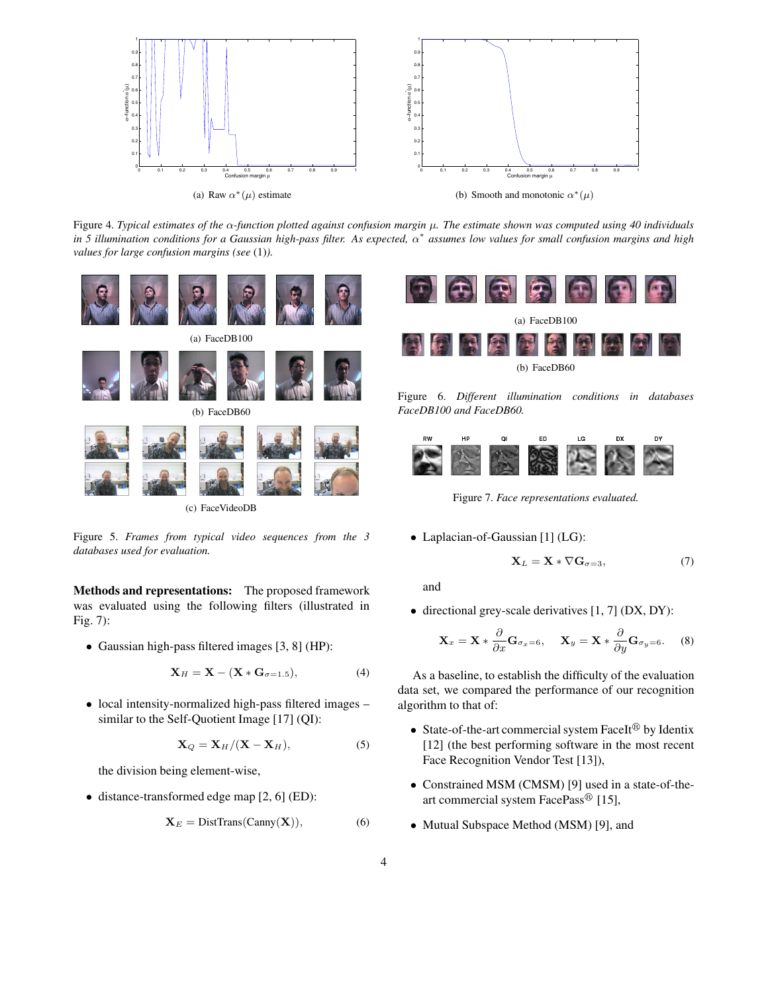

Figure 4. *Typical estimates of the* α*-function plotted against confusion margin* µ*. The estimate shown was computed using 40 individuals in 5 illumination conditions for a Gaussian high-pass filter. As expected,* α<sup>∗</sup> *assumes low values for small confusion margins and high values for large confusion margins (see* (1)*).*



Figure 5. *Frames from typical video sequences from the 3 databases used for evaluation.*

**Methods and representations:** The proposed framework was evaluated using the following filters (illustrated in Fig. 7):

• Gaussian high-pass filtered images [3, 8] (HP):

$$
\mathbf{X}_H = \mathbf{X} - (\mathbf{X} \ast \mathbf{G}_{\sigma=1.5}),
$$
 (4)

• local intensity-normalized high-pass filtered images – similar to the Self-Quotient Image [17] (QI):

$$
\mathbf{X}_Q = \mathbf{X}_H / (\mathbf{X} - \mathbf{X}_H),
$$
 (5)

the division being element-wise,

• distance-transformed edge map [2, 6] (ED):

$$
\mathbf{X}_E = \text{DistTrans}(\text{Canny}(\mathbf{X})),\tag{6}
$$



Figure 6. *Different illumination conditions in databases FaceDB100 and FaceDB60.*



Figure 7. *Face representations evaluated.*

• Laplacian-of-Gaussian [1] (LG):

$$
\mathbf{X}_L = \mathbf{X} * \nabla \mathbf{G}_{\sigma=3},\tag{7}
$$

and

• directional grey-scale derivatives [1, 7] (DX, DY):

$$
\mathbf{X}_{x} = \mathbf{X} \ast \frac{\partial}{\partial x} \mathbf{G}_{\sigma_{x}=6}, \quad \mathbf{X}_{y} = \mathbf{X} \ast \frac{\partial}{\partial y} \mathbf{G}_{\sigma_{y}=6}.
$$
 (8)

As a baseline, to establish the difficulty of the evaluation data set, we compared the performance of our recognition algorithm to that of:

- State-of-the-art commercial system FaceIt<sup>®</sup> by Identix [12] (the best performing software in the most recent Face Recognition Vendor Test [13]),
- Constrained MSM (CMSM) [9] used in a state-of-theart commercial system FacePass<sup>®</sup> [15],
- Mutual Subspace Method (MSM) [9], and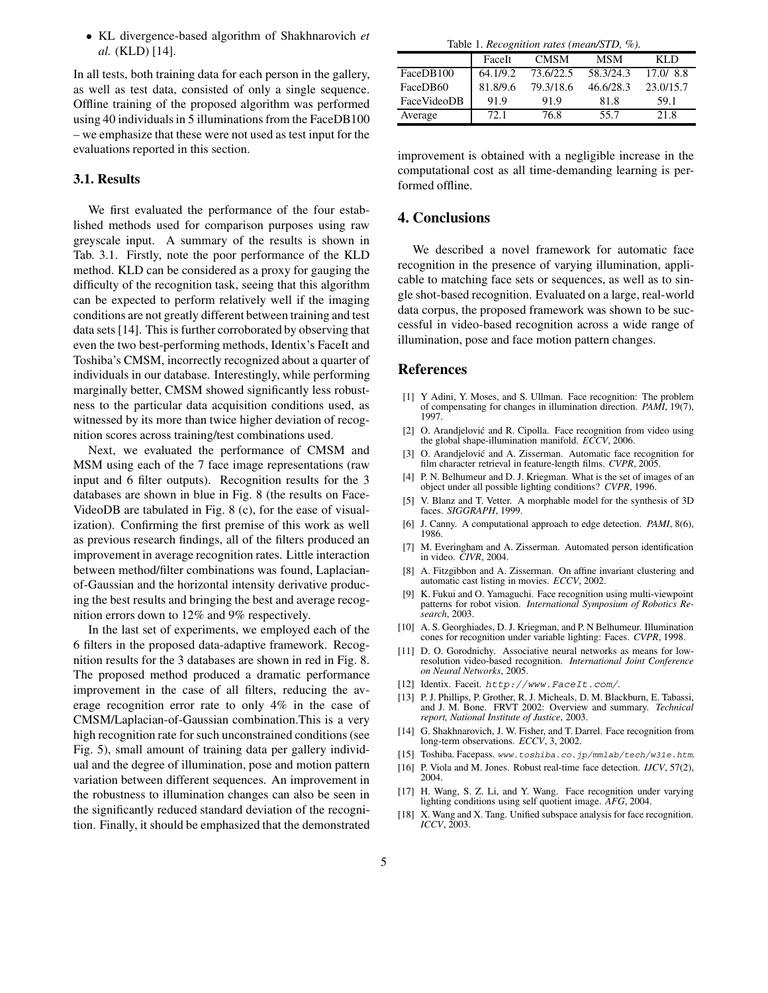• KL divergence-based algorithm of Shakhnarovich *et al.* (KLD) [14].

In all tests, both training data for each person in the gallery, as well as test data, consisted of only a single sequence. Offline training of the proposed algorithm was performed using 40 individuals in 5 illuminations from the FaceDB100 – we emphasize that these were not used as test input for the evaluations reported in this section.

## **3.1. Results**

We first evaluated the performance of the four established methods used for comparison purposes using raw greyscale input. A summary of the results is shown in Tab. 3.1. Firstly, note the poor performance of the KLD method. KLD can be considered as a proxy for gauging the difficulty of the recognition task, seeing that this algorithm can be expected to perform relatively well if the imaging conditions are not greatly different between training and test data sets [14]. This is further corroborated by observing that even the two best-performing methods, Identix's FaceIt and Toshiba's CMSM, incorrectly recognized about a quarter of individuals in our database. Interestingly, while performing marginally better, CMSM showed significantly less robustness to the particular data acquisition conditions used, as witnessed by its more than twice higher deviation of recognition scores across training/test combinations used.

Next, we evaluated the performance of CMSM and MSM using each of the 7 face image representations (raw input and 6 filter outputs). Recognition results for the 3 databases are shown in blue in Fig. 8 (the results on Face-VideoDB are tabulated in Fig. 8 (c), for the ease of visualization). Confirming the first premise of this work as well as previous research findings, all of the filters produced an improvement in average recognition rates. Little interaction between method/filter combinations was found, Laplacianof-Gaussian and the horizontal intensity derivative producing the best results and bringing the best and average recognition errors down to 12% and 9% respectively.

In the last set of experiments, we employed each of the 6 filters in the proposed data-adaptive framework. Recognition results for the 3 databases are shown in red in Fig. 8. The proposed method produced a dramatic performance improvement in the case of all filters, reducing the average recognition error rate to only 4% in the case of CMSM/Laplacian-of-Gaussian combination.This is a very high recognition rate for such unconstrained conditions (see Fig. 5), small amount of training data per gallery individual and the degree of illumination, pose and motion pattern variation between different sequences. An improvement in the robustness to illumination changes can also be seen in the significantly reduced standard deviation of the recognition. Finally, it should be emphasized that the demonstrated

Table 1. *Recognition rates (mean/STD, %).*

|             | FaceIt   | <b>CMSM</b> | <b>MSM</b> | KLD       |
|-------------|----------|-------------|------------|-----------|
| FaceDB100   | 64.1/9.2 | 73.6/22.5   | 58.3/24.3  | 17.0/8.8  |
| FaceDB60    | 81.8/9.6 | 79.3/18.6   | 46.6/28.3  | 23.0/15.7 |
| FaceVideoDB | 91.9     | 91.9        | 81.8       | 59.1      |
| Average     | 72.1     | 76.8        | 55.7       | 21.8      |

improvement is obtained with a negligible increase in the computational cost as all time-demanding learning is performed offline.

#### **4. Conclusions**

We described a novel framework for automatic face recognition in the presence of varying illumination, applicable to matching face sets or sequences, as well as to single shot-based recognition. Evaluated on a large, real-world data corpus, the proposed framework was shown to be successful in video-based recognition across a wide range of illumination, pose and face motion pattern changes.

#### **References**

- [1] Y Adini, Y. Moses, and S. Ullman. Face recognition: The problem of compensating for changes in illumination direction. *PAMI*, 19(7), 1997.
- [2] O. Arandjelović and R. Cipolla. Face recognition from video using the global shape-illumination manifold. *ECCV*, 2006.
- [3] O. Arandjelović and A. Zisserman. Automatic face recognition for film character retrieval in feature-length films. *CVPR*, 2005.
- [4] P. N. Belhumeur and D. J. Kriegman. What is the set of images of an object under all possible lighting conditions? *CVPR*, 1996.
- [5] V. Blanz and T. Vetter. A morphable model for the synthesis of 3D faces. *SIGGRAPH*, 1999.
- [6] J. Canny. A computational approach to edge detection. *PAMI*, 8(6), 1986.
- [7] M. Everingham and A. Zisserman. Automated person identification in video. *CIVR*, 2004.
- [8] A. Fitzgibbon and A. Zisserman. On affine invariant clustering and automatic cast listing in movies. *ECCV*, 2002.
- [9] K. Fukui and O. Yamaguchi. Face recognition using multi-viewpoint patterns for robot vision. *International Symposium of Robotics Research*, 2003.
- [10] A. S. Georghiades, D. J. Kriegman, and P. N Belhumeur. Illumination cones for recognition under variable lighting: Faces. *CVPR*, 1998.
- [11] D. O. Gorodnichy. Associative neural networks as means for lowresolution video-based recognition. *International Joint Conference on Neural Networks*, 2005.
- [12] Identix. Faceit. http://www.FaceIt.com/.
- [13] P. J. Phillips, P. Grother, R. J. Micheals, D. M. Blackburn, E. Tabassi, and J. M. Bone. FRVT 2002: Overview and summary. *Technical report, National Institute of Justice*, 2003.
- [14] G. Shakhnarovich, J. W. Fisher, and T. Darrel. Face recognition from long-term observations. *ECCV*, 3, 2002.
- [15] Toshiba. Facepass. www.toshiba.co.jp/mmlab/tech/w31e.htm.
- [16] P. Viola and M. Jones. Robust real-time face detection. *IJCV*, 57(2), 2004.
- [17] H. Wang, S. Z. Li, and Y. Wang. Face recognition under varying lighting conditions using self quotient image. *AFG*, 2004.
- [18] X. Wang and X. Tang. Unified subspace analysis for face recognition. *ICCV*, 2003.